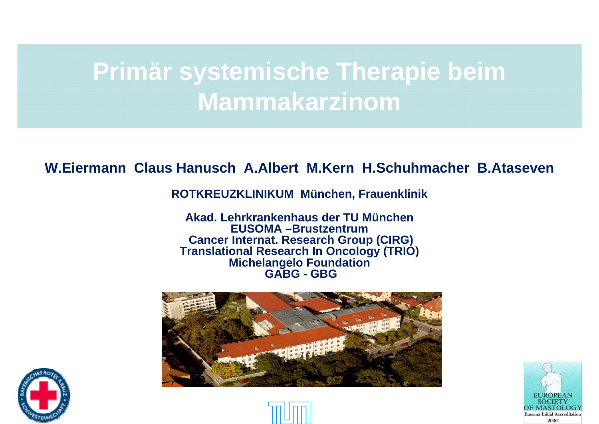#### **Primär systemische Therapie beim M ki amma karz inom**

#### **W.Eiermann Claus Hanusch A.Albert M.Kern H.Schuhmacher B.Ataseven**

**ROTKREUZKLINIKUM München, Frauenklinik**

**Akad. Lehrkrankenhaus der TU MünchenEUSOMA –Brustzentrum Cancer Internat. Research Group (CIRG) Translational Research In Oncology (TRIO) Michelangelo Foundation GABG - GBG**







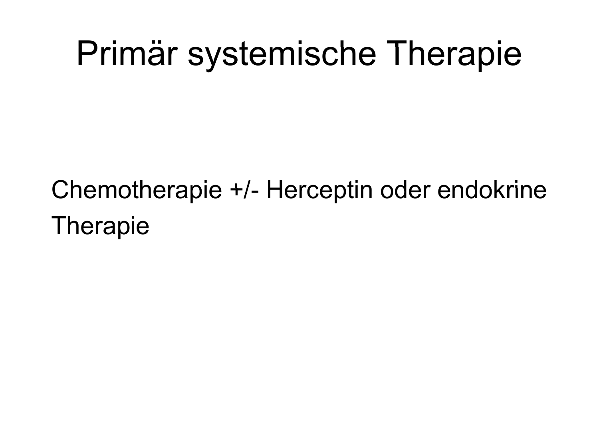#### Primär systemische Therapie ystemische Therapie

#### Chemotherapie +/ -- Herceptin oder endokrine Thera pie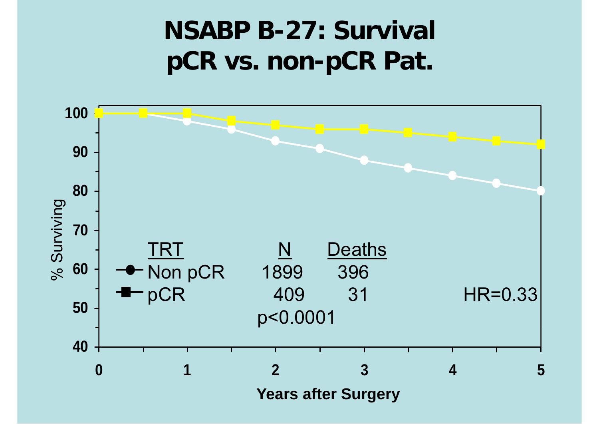#### **NSABP B-27: Survival pCR vs. non-pCR Pat.**

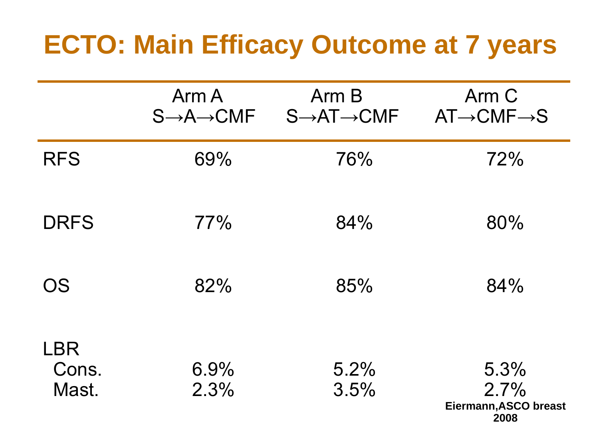#### **ECTO: Main Efficacy Outcome at 7 years**

|                              | Arm A<br>$S \rightarrow A \rightarrow C M F$ | Arm B<br>$S \rightarrow AT \rightarrow CMF$ | Arm C<br>$AT \rightarrow CMF \rightarrow S$   |
|------------------------------|----------------------------------------------|---------------------------------------------|-----------------------------------------------|
| <b>RFS</b>                   | 69%                                          | 76%                                         | 72%                                           |
| <b>DRFS</b>                  | 77%                                          | 84%                                         | 80%                                           |
| <b>OS</b>                    | 82%                                          | 85%                                         | 84%                                           |
| <b>LBR</b><br>Cons.<br>Mast. | 6.9%<br>2.3%                                 | 5.2%<br>3.5%                                | 5.3%<br>2.7%<br>Eiermann, ASCO breast<br>2008 |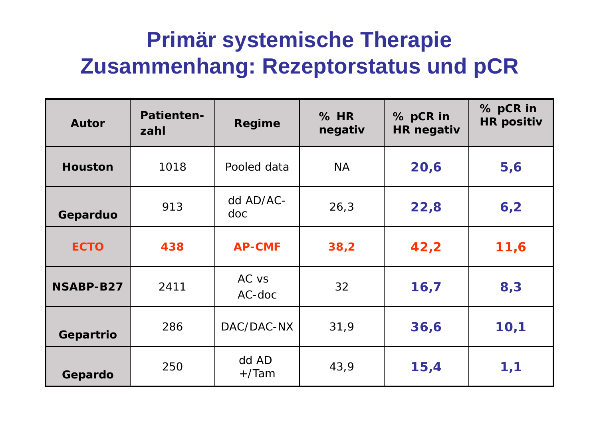#### **Primär systemische Therapie Therapie Zusammenhang: Rezeptorstatus und pCR**

| <b>Autor</b>   | <b>Patienten-</b><br>zahl | <b>Regime</b>      | $%$ HR<br>negativ | % pCR in<br><b>HR negativ</b> | % pCR in<br><b>HR positiv</b> |
|----------------|---------------------------|--------------------|-------------------|-------------------------------|-------------------------------|
| <b>Houston</b> | 1018                      | Pooled data        | <b>NA</b>         | 20,6                          | 5,6                           |
| Geparduo       | 913                       | dd AD/AC-<br>doc   | 26,3              | 22,8                          | 6,2                           |
| <b>ECTO</b>    | 438                       | <b>AP-CMF</b>      | 38,2              | 42,2                          | 11,6                          |
| NSABP-B27      | 2411                      | AC vs<br>$AC$ -doc | 32                | 16,7                          | 8,3                           |
| Gepartrio      | 286                       | DAC/DAC-NX         | 31,9              | 36,6                          | 10,1                          |
| Gepardo        | 250                       | dd AD<br>$+$ /Tam  | 43,9              | 15,4                          | 1,1                           |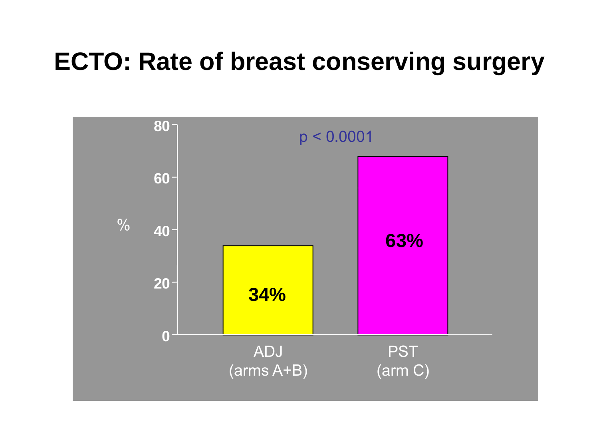#### **ECTO: Rate of breast conserving surgery**

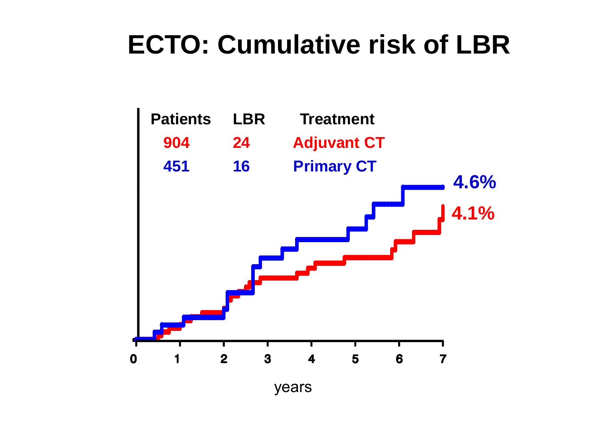### **ECTO: Cumulative risk of LBR**

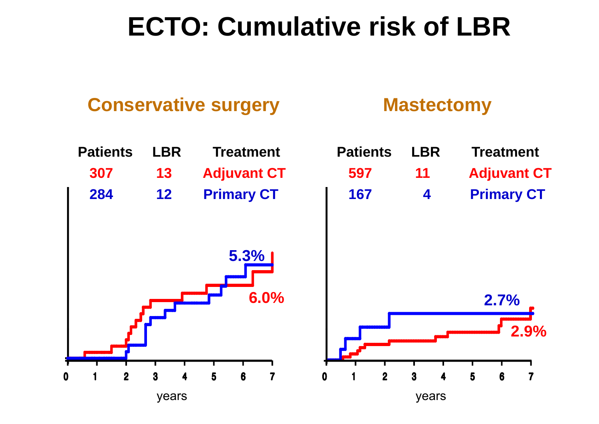#### **ECTO: Cumulative risk of LBR**

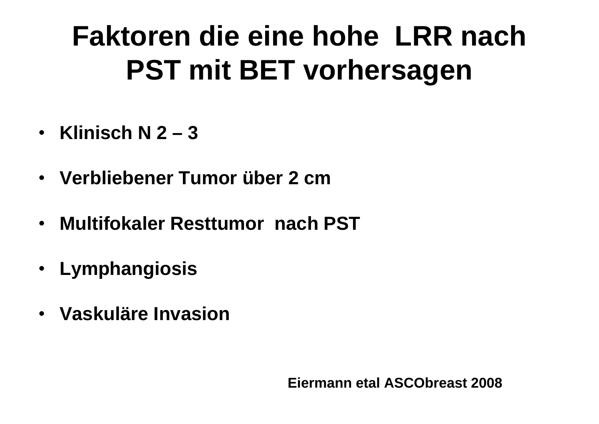### **Faktoren die eine hohe LRR nach PST mit BET vorhersagen**

- **Klinisch N 2 – 3**
- •**Verbliebener Tumor über 2 cm**
- **Multifokaler Resttumor nach PST**
- **Lymphangiosis**
- **Vaskuläre Invasion**

**Eiermann etal ASCObreast 2008**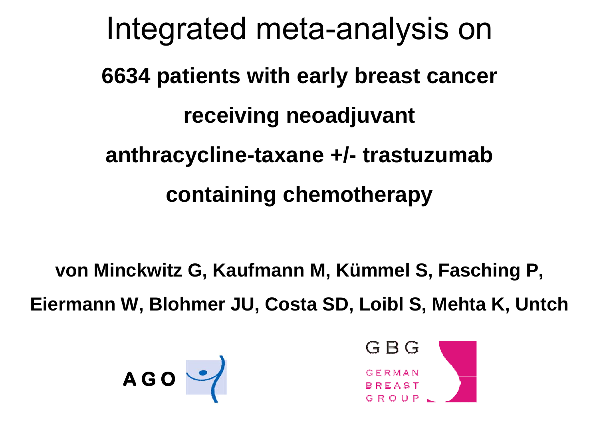Integrated meta-analysis on **6634 patients with early breast cancer receiving neoadjuvant anthracycline-taxane +/- trastuzumab cont i i h th t aining c hemotherapy**

**von Minckwitz G, Kaufmann M, Kümmel S, Fasching P, Eiermann W, Blohmer JU, Costa SD, Loibl S, Mehta K, Untch**



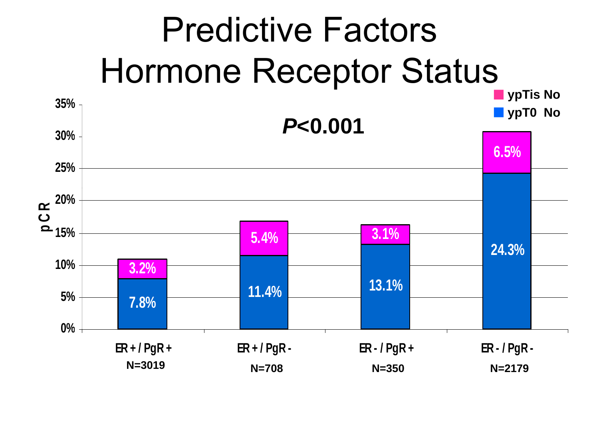## Predictive Factors Hormone Receptor Status

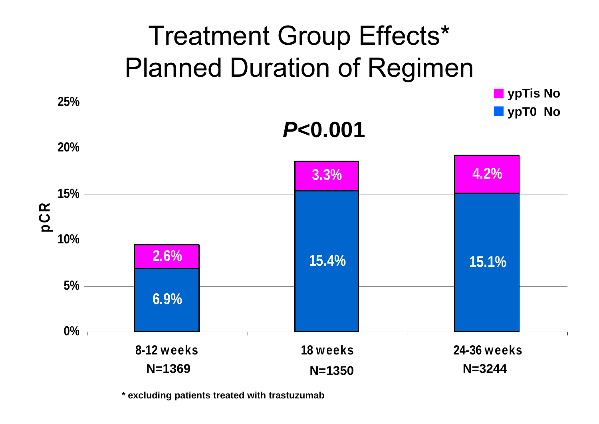### Treatment Group Effects\* Planned Duration of Regimen



**\* excluding patients treated with trastuzumab**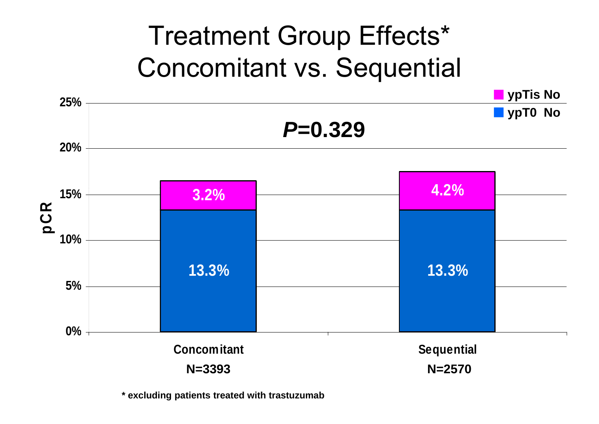### Treatment Group Effects\* Concomitant vs. Sequential



**\* excluding patients treated with trastuzumab**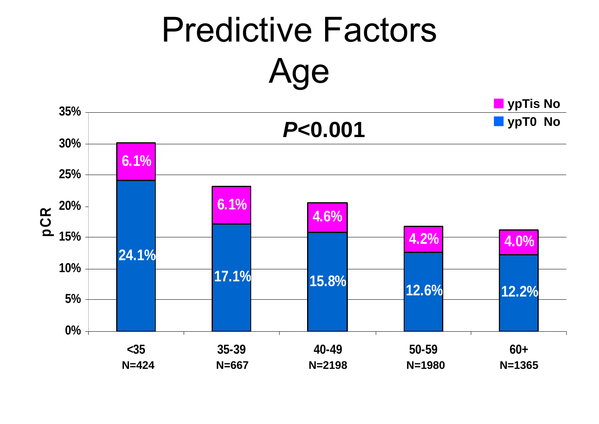# Predictive Factors Age

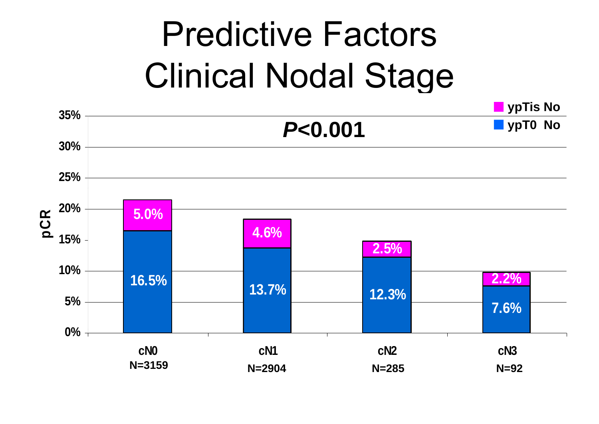#### Predictive Factors Clinical Nodal Sta g e

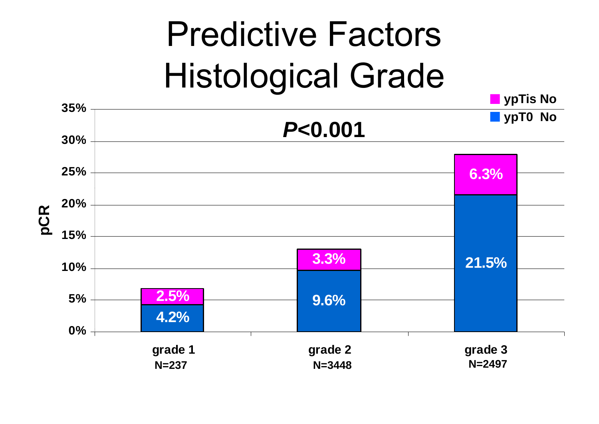#### Predictive Factors Histolo gical Grade

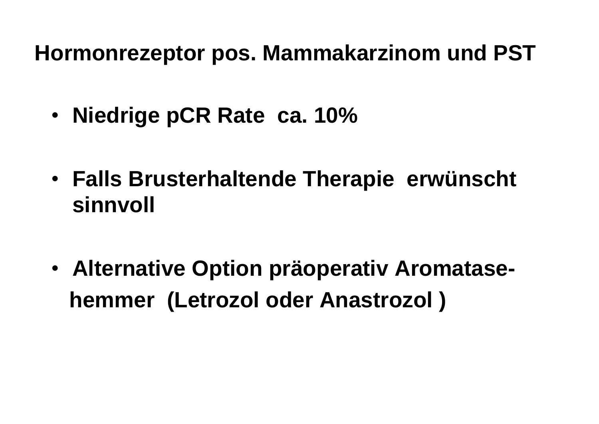**H t M k i d PST Hormonrezep tor pos. Mamma karzinom un**

- •**Niedrige pCR Rate ca. 10%**
- **Falls Brusterhaltende Thera pie erwünscht sinnvoll**
- **Alternative Option präoperativ Aromatasehemmer (Letrozol oder Anastrozol )**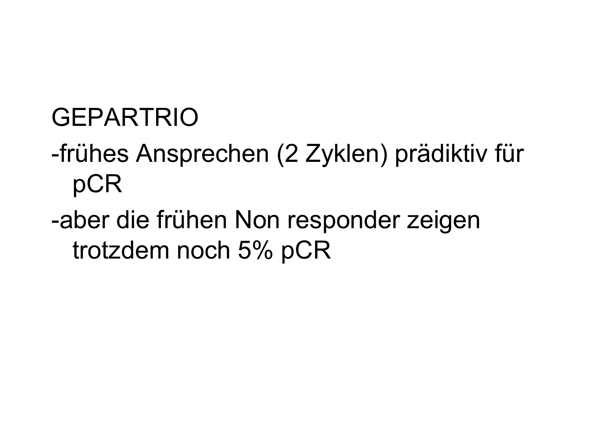#### GEPARTRIO

- -frühes Ansprechen (2 Zyklen) prädiktiv für pCR
- -aber die frühen Non responder zeigen trotzdem noch 5% pCR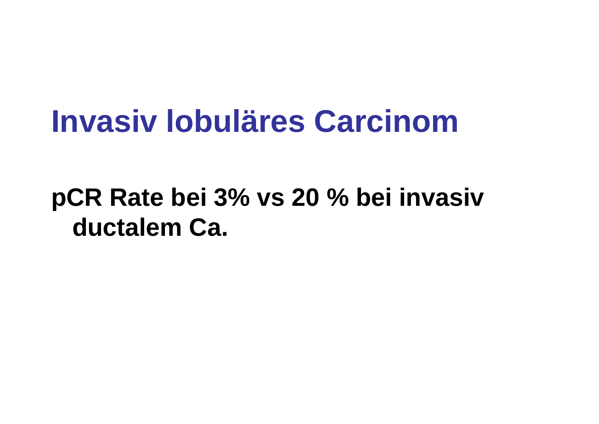### **Invasiv lobuläres Carcinom**

#### pCR Rate bei 3% vs 20 % bei invasiv **ductalem Ca.**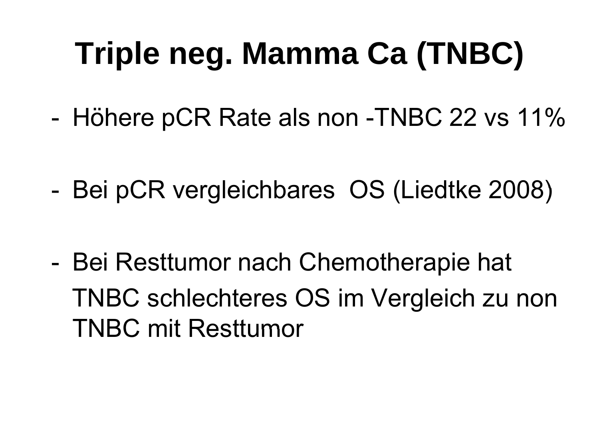#### **T i l M C (TNBC)** riple neg. Mamma Ca (TNBC

-Höhere pCR Rate als non -TNBC 22 vs 11%

-Bei pCR vergleichbares OS (Liedtke 2008)

- Bei Resttumor nach Chemotherapie hat TNBC schlechteres OS im Vergleich zu non TNBC mit Resttumor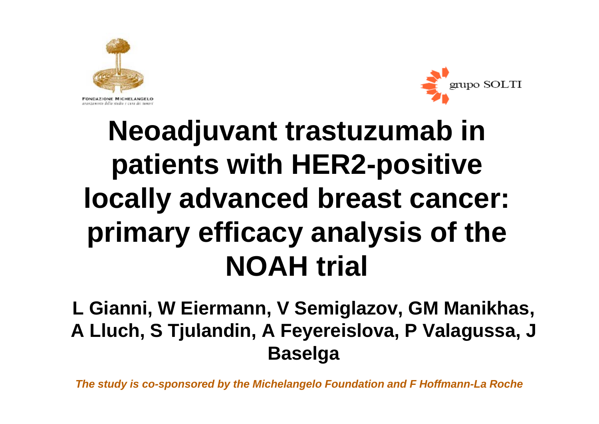



### **Neoadjuvant trastuzumab in patients with HER2-positive locally advanced breast cancer: primary efficacy analysis of the NOAH trial**

**L Gianni, W Eiermann, V Semiglazov, GM Manikhas,**  A Lluch, S Tjulandin, A Feyereislova, P Valagussa, J **Baselga**

*The study is co-sponsored by the Michelangelo Foundation and F Hoffmann-La Roche*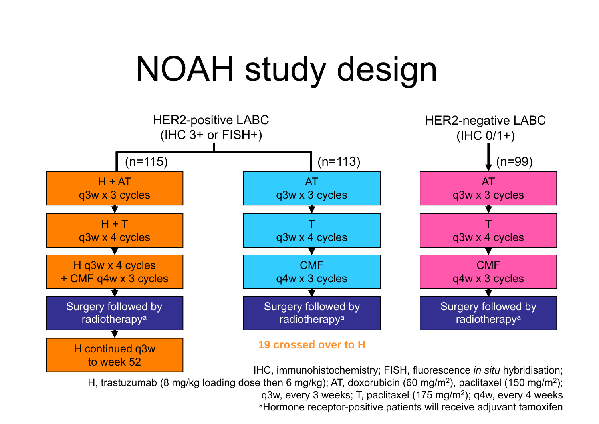## NOAH study design



IHC, immunohistochemistry; FISH, fluorescence *in situ* hybridisation; H, trastuzumab (8 mg/kg loading dose then 6 mg/kg); AT, doxorubicin (60 mg/m<sup>2</sup>), paclitaxel (150 mg/m<sup>2</sup>); q3w, every 3 weeks; T, paclitaxel (175 mg/m<sup>2</sup>); q4w, every 4 weeks aHormone receptor-positive patients will receive adjuvant tamoxifen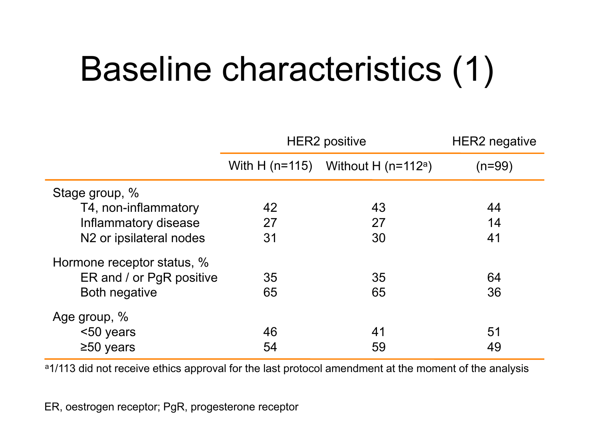# Baseline characteristics (1)

|                                     | <b>HER2 positive</b> |                                                | HER2 negative |
|-------------------------------------|----------------------|------------------------------------------------|---------------|
|                                     |                      | With H (n=115) Without H (n=112 <sup>a</sup> ) | (n=99)        |
| Stage group, %                      |                      |                                                |               |
| T4, non-inflammatory                | 42                   | 43                                             | 44            |
| Inflammatory disease                | 27                   | 27                                             | 14            |
| N <sub>2</sub> or ipsilateral nodes | 31                   | 30                                             | 41            |
| Hormone receptor status, %          |                      |                                                |               |
| ER and / or PgR positive            | 35                   | 35                                             | 64            |
| <b>Both negative</b>                | 65                   | 65                                             | 36            |
| Age group, %                        |                      |                                                |               |
| <50 years                           | 46                   | 41                                             | 51            |
| $\geq 50$ years                     | 54                   | 59                                             | 49            |

a1/113 did not receive ethics approval for the last protocol amendment at the moment of the analysis

ER, oestrogen receptor; PgR, progesterone receptor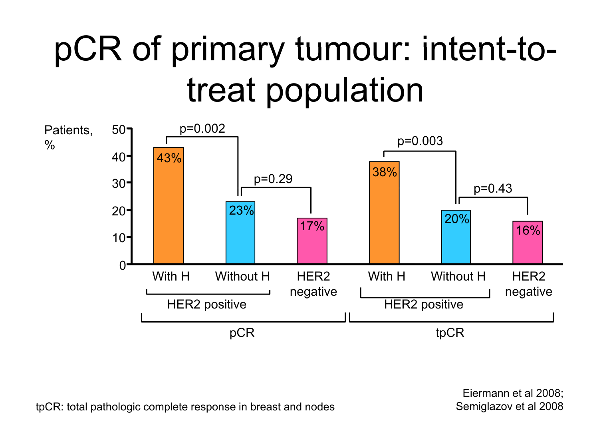# pCR of primary tumour: intent-to treat population



Eiermann et al 2008; Semiglazov et al 2008

tpCR: total pathologic complete response in breast and nodes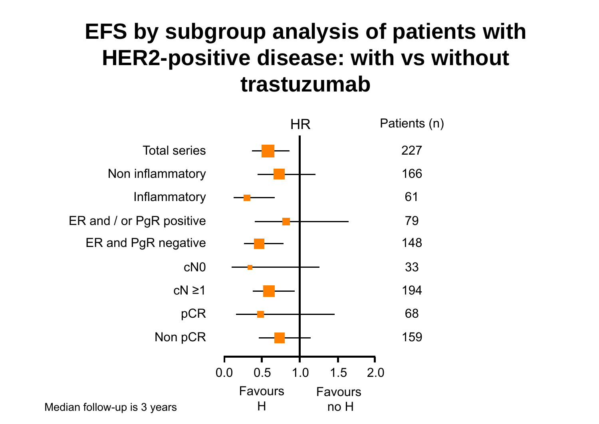#### **EFS by subgroup analysis of patients with HER2-positive disease: with vs without trastuzumab**

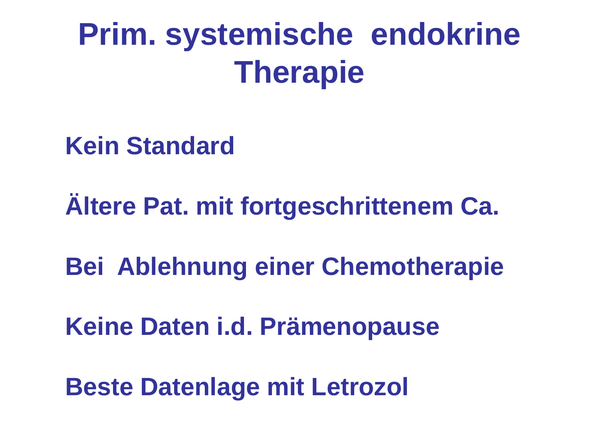## **Prim. systemische endokrine Therapie**

#### **K i St d d Kein Standard**

### **Ältere Pat. mit fortgeschrittenem Ca.**

#### **Bei Ablehnung einer Chemotherapie**

#### **Keine Daten i d Prämenopause i.d.**

**Beste Datenlage mit Letrozol**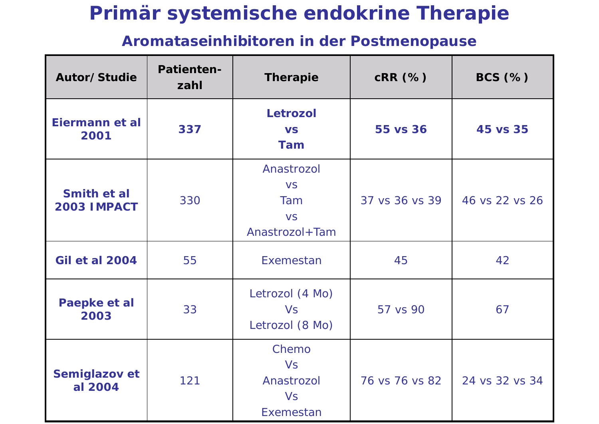#### **Primär systemische endokrine Therapie**

#### **Aromataseinhibitoren in der Postmeno pause p**

| Autor/Studie               | Patienten-<br>zahl | <b>Therapie</b>                                               | $CRR$ $(\%)$   | $BCS$ $(\%)$   |
|----------------------------|--------------------|---------------------------------------------------------------|----------------|----------------|
| Eiermann et al<br>2001     | 337                | <b>Letrozol</b><br><b>VS</b><br><b>Tam</b>                    | 55 vs 36       | 45 vs 35       |
| Smith et al<br>2003 IMPACT | 330                | Anastrozol<br><b>VS</b><br>Tam<br><b>VS</b><br>Anastrozol+Tam | 37 vs 36 vs 39 | 46 vs 22 vs 26 |
| <b>Gil et al 2004</b>      | 55                 | Exemestan                                                     | 45             | 42             |
| Paepke et al<br>2003       | 33                 | Letrozol (4 Mo)<br><b>Vs</b><br>Letrozol (8 Mo)               | 57 vs 90       | 67             |
| Semiglazov et<br>al 2004   | 121                | Chemo<br><b>Vs</b><br>Anastrozol<br><b>Vs</b><br>Exemestan    | 76 vs 76 vs 82 | 24 vs 32 vs 34 |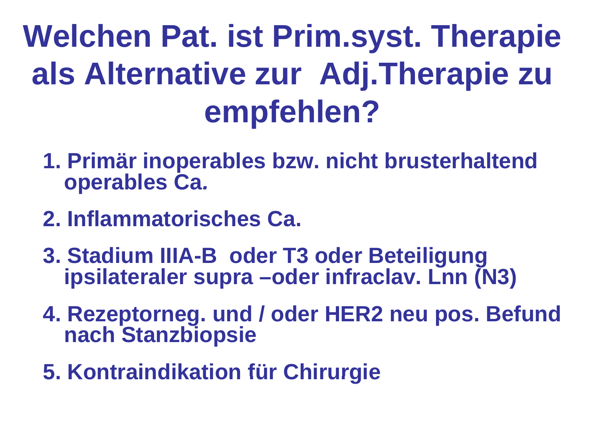## **We <sup>c</sup> <sup>e</sup> at st syst <sup>e</sup> ap <sup>e</sup> lchen Pat. ist Prim.syst. Therapie als Alternative zur Adj.Therapie zu empfehlen?**

- **1. Primär inoperables bzw. nicht brusterhaltend operables Ca.**
- **2. Inflammatorisches Ca.**
- **3. Stadium IIIA-B oder T3 oder Beteiligung ipsilateraler supra –oder infraclav. Lnn (N3) oder**
- **4. Rezeptorneg. und / oder HER2 neu pos. Befund nach St bi i h Stanzbiopsie**
- **5 Kontraindikation für Chirurgie 5.**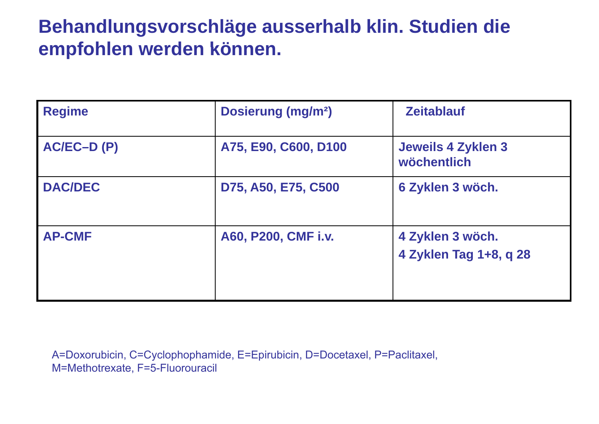#### **Behandlungsvorschläge ausserhalb klin. Studien die empfohlen werden können können.**

| <b>Regime</b>  | <b>Dosierung (mg/m<sup>2</sup>)</b> | <b>Zeitablauf</b>                          |
|----------------|-------------------------------------|--------------------------------------------|
| $AC/EC-D(P)$   | A75, E90, C600, D100                | <b>Jeweils 4 Zyklen 3</b><br>wöchentlich   |
| <b>DAC/DEC</b> | D75, A50, E75, C500                 | 6 Zyklen 3 wöch.                           |
| <b>AP-CMF</b>  | A60, P200, CMF i.v.                 | 4 Zyklen 3 wöch.<br>4 Zyklen Tag 1+8, q 28 |

A=Doxorubicin, C=Cyclophophamide, E=Epirubicin, D=Docetaxel, P=Paclitaxel, M=Methotrexate, F=5-Fluorouracil